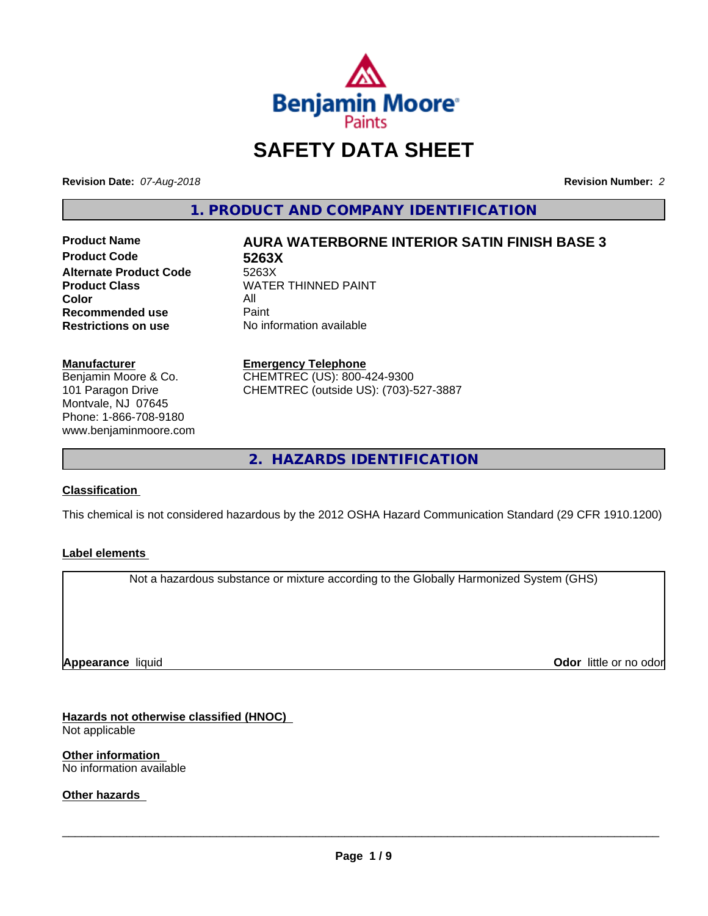

# **SAFETY DATA SHEET**

**Revision Date:** *07-Aug-2018* **Revision Number:** *2*

**1. PRODUCT AND COMPANY IDENTIFICATION**

**Product Code 5263X Alternate Product Code**<br>Product Class **Color** All All<br>**Recommended use** Paint **Recommended use**<br>Restrictions on use

# **Product Name AURA WATERBORNE INTERIOR SATIN FINISH BASE 3**

**WATER THINNED PAINT No information available** 

**Manufacturer** Benjamin Moore & Co. 101 Paragon Drive Montvale, NJ 07645 Phone: 1-866-708-9180

www.benjaminmoore.com

#### **Emergency Telephone**

CHEMTREC (US): 800-424-9300 CHEMTREC (outside US): (703)-527-3887

**2. HAZARDS IDENTIFICATION**

#### **Classification**

This chemical is not considered hazardous by the 2012 OSHA Hazard Communication Standard (29 CFR 1910.1200)

#### **Label elements**

Not a hazardous substance or mixture according to the Globally Harmonized System (GHS)

**Appearance** liquid

**Odor** little or no odor

**Hazards not otherwise classified (HNOC)** Not applicable

**Other information** No information available

**Other hazards**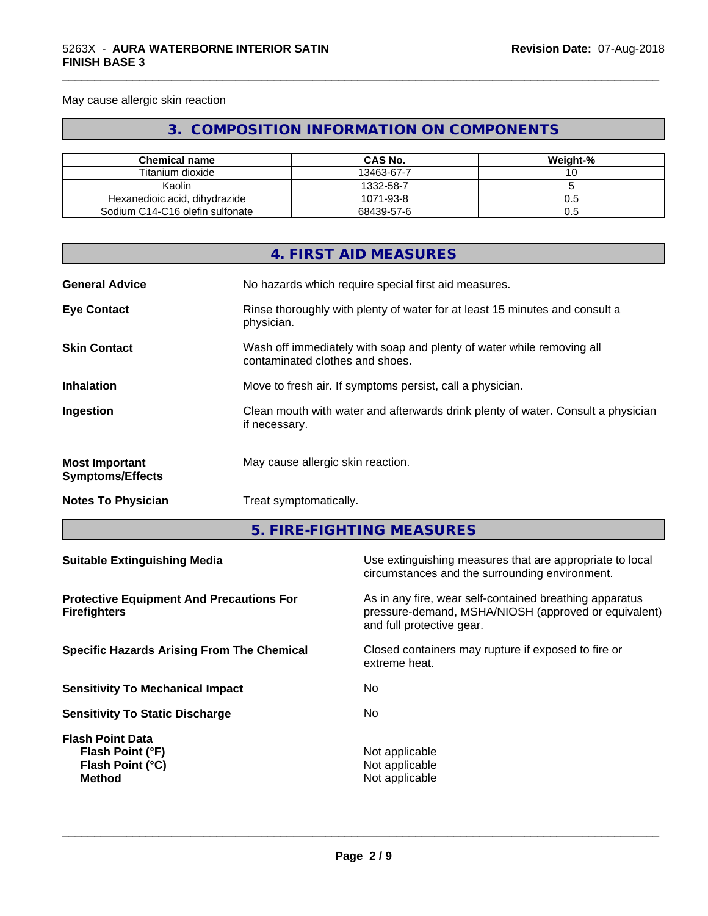May cause allergic skin reaction

# **3. COMPOSITION INFORMATION ON COMPONENTS**

\_\_\_\_\_\_\_\_\_\_\_\_\_\_\_\_\_\_\_\_\_\_\_\_\_\_\_\_\_\_\_\_\_\_\_\_\_\_\_\_\_\_\_\_\_\_\_\_\_\_\_\_\_\_\_\_\_\_\_\_\_\_\_\_\_\_\_\_\_\_\_\_\_\_\_\_\_\_\_\_\_\_\_\_\_\_\_\_\_\_\_\_\_

| <b>Chemical name</b>            | CAS No.    | Weight-% |
|---------------------------------|------------|----------|
| Titanium dioxide                | 13463-67-7 |          |
| Kaolin                          | 1332-58-7  |          |
| Hexanedioic acid, dihydrazide   | 1071-93-8  | U.S      |
| Sodium C14-C16 olefin sulfonate | 68439-57-6 | U.5      |

|                                                  |               | 4. FIRST AID MEASURES                                                                                      |  |
|--------------------------------------------------|---------------|------------------------------------------------------------------------------------------------------------|--|
| <b>General Advice</b>                            |               | No hazards which require special first aid measures.                                                       |  |
| <b>Eye Contact</b>                               | physician.    | Rinse thoroughly with plenty of water for at least 15 minutes and consult a                                |  |
| <b>Skin Contact</b>                              |               | Wash off immediately with soap and plenty of water while removing all<br>contaminated clothes and shoes.   |  |
| <b>Inhalation</b>                                |               | Move to fresh air. If symptoms persist, call a physician.                                                  |  |
| Ingestion                                        | if necessary. | Clean mouth with water and afterwards drink plenty of water. Consult a physician                           |  |
| <b>Most Important</b><br><b>Symptoms/Effects</b> |               | May cause allergic skin reaction.                                                                          |  |
| <b>Notes To Physician</b>                        |               | Treat symptomatically.                                                                                     |  |
|                                                  |               | 5. FIRE-FIGHTING MEASURES                                                                                  |  |
| <b>Suitable Extinguishing Media</b>              |               | Use extinguishing measures that are appropriate to local<br>circumstances and the surrounding environment. |  |
| <b>Protective Equipment And Precautions For</b>  |               | As in any fire, wear self-contained breathing apparatus                                                    |  |

**Protective Equipment And Precautions For Firefighters**

**Specific Hazards Arising From The Chemical Closed containers may rupture if exposed to fire or** 

**Sensitivity To Mechanical Impact** No

**Sensitivity To Static Discharge** No

**Flash Point Data Flash Point (°F)**<br> **Flash Point (°C)**<br> **Flash Point (°C)**<br> **C Flash Point (°C)**<br>Method

pressure-demand, MSHA/NIOSH (approved or equivalent) and full protective gear.

extreme heat.

**Not applicable**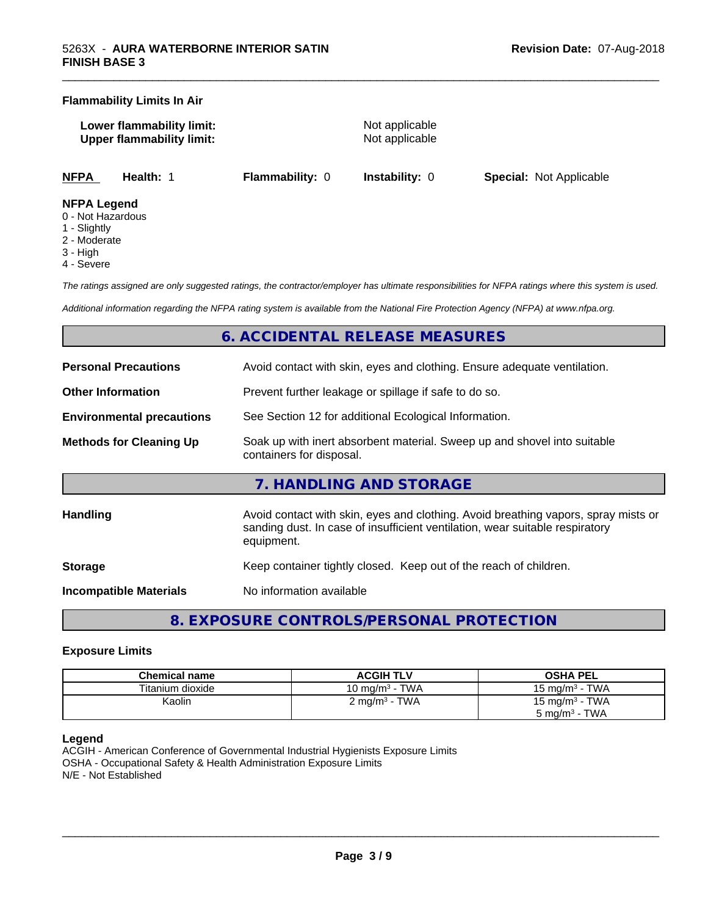#### **Flammability Limits In Air**

**Lower flammability limit:** Not applicable **Upper flammability limit:** Not applicable

\_\_\_\_\_\_\_\_\_\_\_\_\_\_\_\_\_\_\_\_\_\_\_\_\_\_\_\_\_\_\_\_\_\_\_\_\_\_\_\_\_\_\_\_\_\_\_\_\_\_\_\_\_\_\_\_\_\_\_\_\_\_\_\_\_\_\_\_\_\_\_\_\_\_\_\_\_\_\_\_\_\_\_\_\_\_\_\_\_\_\_\_\_

**NFPA Health:** 1 **Flammability:** 0 **Instability:** 0 **Special:** Not Applicable

#### **NFPA Legend**

- 0 Not Hazardous
- 1 Slightly
- 2 Moderate
- 3 High
- 4 Severe

*The ratings assigned are only suggested ratings, the contractor/employer has ultimate responsibilities for NFPA ratings where this system is used.*

*Additional information regarding the NFPA rating system is available from the National Fire Protection Agency (NFPA) at www.nfpa.org.*

# **6. ACCIDENTAL RELEASE MEASURES**

| <b>Personal Precautions</b>      | Avoid contact with skin, eyes and clothing. Ensure adequate ventilation.                                                                                                         |
|----------------------------------|----------------------------------------------------------------------------------------------------------------------------------------------------------------------------------|
| <b>Other Information</b>         | Prevent further leakage or spillage if safe to do so.                                                                                                                            |
| <b>Environmental precautions</b> | See Section 12 for additional Ecological Information.                                                                                                                            |
| <b>Methods for Cleaning Up</b>   | Soak up with inert absorbent material. Sweep up and shovel into suitable<br>containers for disposal.                                                                             |
|                                  | 7. HANDLING AND STORAGE                                                                                                                                                          |
| <b>Handling</b>                  | Avoid contact with skin, eyes and clothing. Avoid breathing vapors, spray mists or<br>sanding dust. In case of insufficient ventilation, wear suitable respiratory<br>equipment. |
| <b>Storage</b>                   | Keep container tightly closed. Keep out of the reach of children.                                                                                                                |
| <b>Incompatible Materials</b>    | No information available                                                                                                                                                         |

**8. EXPOSURE CONTROLS/PERSONAL PROTECTION**

#### **Exposure Limits**

| Chemical name    | <b>ACGIH TLV</b>                | <b>OSHA PEL</b>                 |
|------------------|---------------------------------|---------------------------------|
| Titanium dioxide | · TWA<br>10 mg/m <sup>3</sup> - | <b>TWA</b><br>15 mg/m $3 \cdot$ |
| Kaolin           | $2 \text{ mg/m}^3$ - TWA        | 15 mg/m $3$ - TWA               |
|                  |                                 | TWA<br>5 mg/m <sup>3</sup> -    |

#### **Legend**

ACGIH - American Conference of Governmental Industrial Hygienists Exposure Limits OSHA - Occupational Safety & Health Administration Exposure Limits N/E - Not Established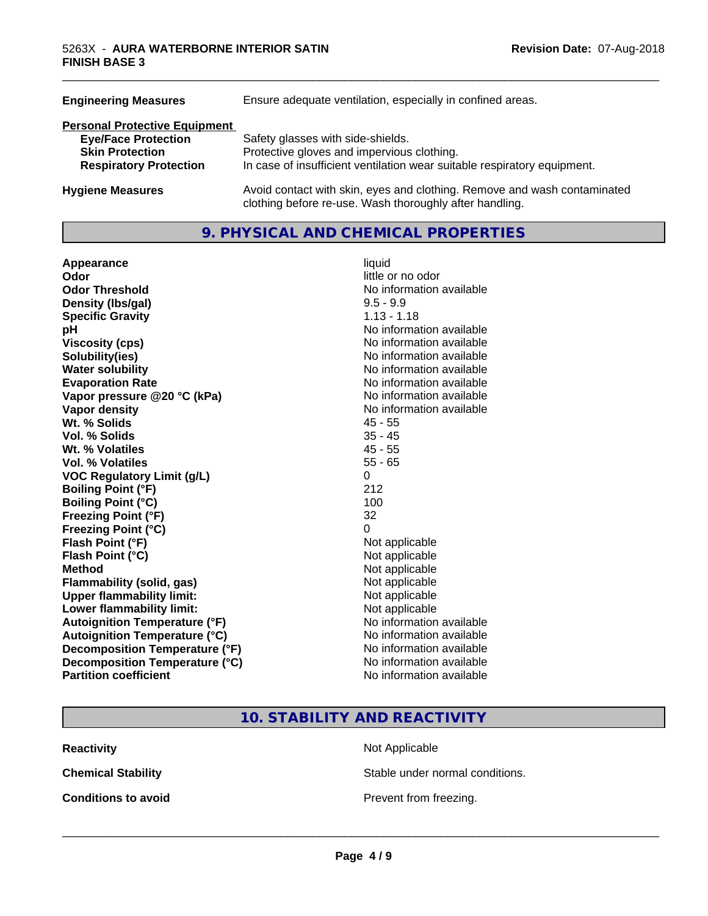| Ensure adequate ventilation, especially in confined areas.                                                                          |  |  |
|-------------------------------------------------------------------------------------------------------------------------------------|--|--|
|                                                                                                                                     |  |  |
| Safety glasses with side-shields.                                                                                                   |  |  |
| Protective gloves and impervious clothing.                                                                                          |  |  |
| In case of insufficient ventilation wear suitable respiratory equipment.                                                            |  |  |
| Avoid contact with skin, eyes and clothing. Remove and wash contaminated<br>clothing before re-use. Wash thoroughly after handling. |  |  |
|                                                                                                                                     |  |  |

### **9. PHYSICAL AND CHEMICAL PROPERTIES**

| Appearance                           | liquid                   |
|--------------------------------------|--------------------------|
| Odor                                 | little or no odor        |
| <b>Odor Threshold</b>                | No information available |
| Density (Ibs/gal)                    | $9.5 - 9.9$              |
| <b>Specific Gravity</b>              | $1.13 - 1.18$            |
| pH                                   | No information available |
| <b>Viscosity (cps)</b>               | No information available |
| Solubility(ies)                      | No information available |
| <b>Water solubility</b>              | No information available |
| <b>Evaporation Rate</b>              | No information available |
| Vapor pressure @20 °C (kPa)          | No information available |
| <b>Vapor density</b>                 | No information available |
| Wt. % Solids                         | $45 - 55$                |
| Vol. % Solids                        | $35 - 45$                |
| Wt. % Volatiles                      | $45 - 55$                |
| Vol. % Volatiles                     | $55 - 65$                |
| <b>VOC Regulatory Limit (g/L)</b>    | 0                        |
| <b>Boiling Point (°F)</b>            | 212                      |
| <b>Boiling Point (°C)</b>            | 100                      |
| <b>Freezing Point (°F)</b>           | 32                       |
| <b>Freezing Point (°C)</b>           | 0                        |
| Flash Point (°F)                     | Not applicable           |
| Flash Point (°C)                     | Not applicable           |
| <b>Method</b>                        | Not applicable           |
| <b>Flammability (solid, gas)</b>     | Not applicable           |
| <b>Upper flammability limit:</b>     | Not applicable           |
| Lower flammability limit:            | Not applicable           |
| <b>Autoignition Temperature (°F)</b> | No information available |
| <b>Autoignition Temperature (°C)</b> | No information available |
| Decomposition Temperature (°F)       | No information available |
| Decomposition Temperature (°C)       | No information available |
| <b>Partition coefficient</b>         | No information available |

\_\_\_\_\_\_\_\_\_\_\_\_\_\_\_\_\_\_\_\_\_\_\_\_\_\_\_\_\_\_\_\_\_\_\_\_\_\_\_\_\_\_\_\_\_\_\_\_\_\_\_\_\_\_\_\_\_\_\_\_\_\_\_\_\_\_\_\_\_\_\_\_\_\_\_\_\_\_\_\_\_\_\_\_\_\_\_\_\_\_\_\_\_

# **10. STABILITY AND REACTIVITY**

**Reactivity** Not Applicable

**Chemical Stability Stable under normal conditions.** 

**Conditions to avoid Conditions to avoid Prevent from freezing.**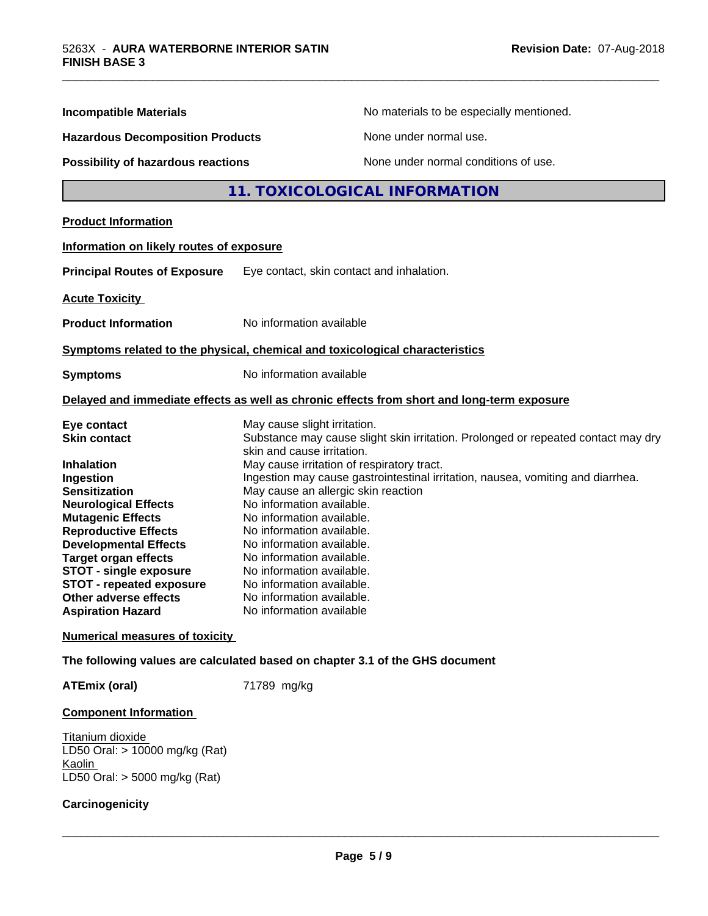| <b>Incompatible Materials</b>             | No materials to be especially mentioned.                                                                        |  |
|-------------------------------------------|-----------------------------------------------------------------------------------------------------------------|--|
| <b>Hazardous Decomposition Products</b>   | None under normal use.                                                                                          |  |
| <b>Possibility of hazardous reactions</b> | None under normal conditions of use.                                                                            |  |
|                                           | 11. TOXICOLOGICAL INFORMATION                                                                                   |  |
| <b>Product Information</b>                |                                                                                                                 |  |
| Information on likely routes of exposure  |                                                                                                                 |  |
| <b>Principal Routes of Exposure</b>       | Eye contact, skin contact and inhalation.                                                                       |  |
| <b>Acute Toxicity</b>                     |                                                                                                                 |  |
| <b>Product Information</b>                | No information available                                                                                        |  |
|                                           | Symptoms related to the physical, chemical and toxicological characteristics                                    |  |
| <b>Symptoms</b>                           | No information available                                                                                        |  |
|                                           | Delayed and immediate effects as well as chronic effects from short and long-term exposure                      |  |
| Eye contact<br><b>Skin contact</b>        | May cause slight irritation.                                                                                    |  |
|                                           | Substance may cause slight skin irritation. Prolonged or repeated contact may dry<br>skin and cause irritation. |  |
| <b>Inhalation</b>                         | May cause irritation of respiratory tract.                                                                      |  |
| Ingestion                                 | Ingestion may cause gastrointestinal irritation, nausea, vomiting and diarrhea.                                 |  |
| <b>Sensitization</b>                      | May cause an allergic skin reaction                                                                             |  |
| <b>Neurological Effects</b>               | No information available.                                                                                       |  |
| <b>Mutagenic Effects</b>                  | No information available.                                                                                       |  |
| <b>Reproductive Effects</b>               | No information available.                                                                                       |  |
| <b>Developmental Effects</b>              | No information available.                                                                                       |  |
| <b>Target organ effects</b>               | No information available.                                                                                       |  |
| <b>STOT - single exposure</b>             | No information available.                                                                                       |  |
| STOT - repeated exposure                  | No information available.                                                                                       |  |
| Other adverse effects                     | No information available.                                                                                       |  |
| <b>Aspiration Hazard</b>                  | No information available                                                                                        |  |
|                                           |                                                                                                                 |  |

\_\_\_\_\_\_\_\_\_\_\_\_\_\_\_\_\_\_\_\_\_\_\_\_\_\_\_\_\_\_\_\_\_\_\_\_\_\_\_\_\_\_\_\_\_\_\_\_\_\_\_\_\_\_\_\_\_\_\_\_\_\_\_\_\_\_\_\_\_\_\_\_\_\_\_\_\_\_\_\_\_\_\_\_\_\_\_\_\_\_\_\_\_

ATEmix (oral) 71789 mg/kg

### **Component Information**

Titanium dioxide LD50 Oral: > 10000 mg/kg (Rat) Kaolin LD50 Oral: > 5000 mg/kg (Rat)

### **Carcinogenicity**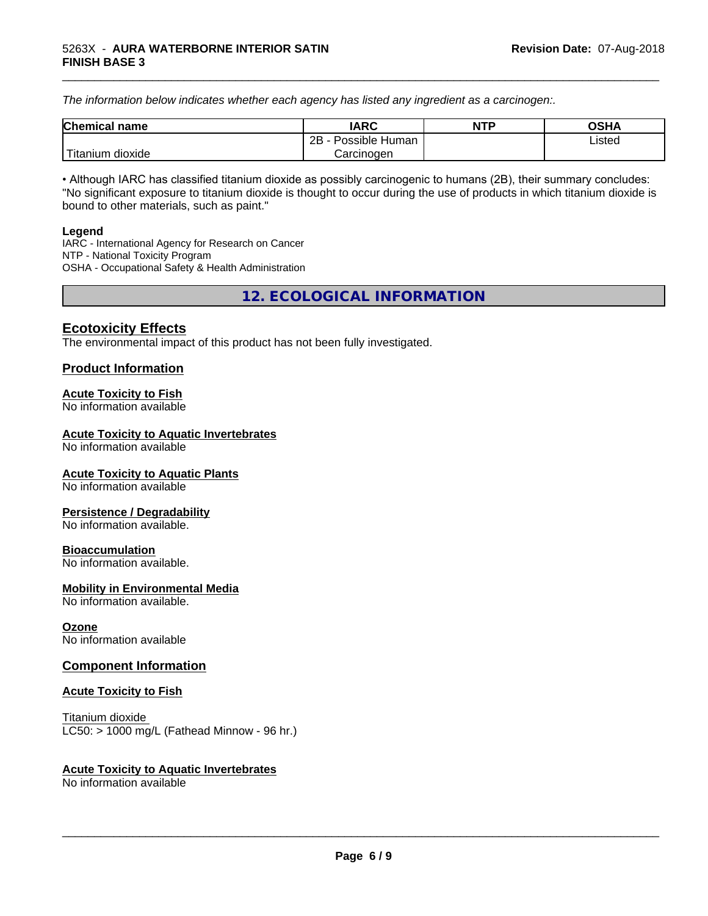*The information below indicateswhether each agency has listed any ingredient as a carcinogen:.*

| <b>Chemical</b><br>name | <b>IARC</b>                    | <b>NTP</b> | <b>OSHA</b> |
|-------------------------|--------------------------------|------------|-------------|
|                         | . .<br>2B<br>Possible<br>Human |            | Listed<br>. |
| dioxide<br>⊺itanium     | Carcinogen                     |            |             |

\_\_\_\_\_\_\_\_\_\_\_\_\_\_\_\_\_\_\_\_\_\_\_\_\_\_\_\_\_\_\_\_\_\_\_\_\_\_\_\_\_\_\_\_\_\_\_\_\_\_\_\_\_\_\_\_\_\_\_\_\_\_\_\_\_\_\_\_\_\_\_\_\_\_\_\_\_\_\_\_\_\_\_\_\_\_\_\_\_\_\_\_\_

• Although IARC has classified titanium dioxide as possibly carcinogenic to humans (2B), their summary concludes: "No significant exposure to titanium dioxide is thought to occur during the use of products in which titanium dioxide is bound to other materials, such as paint."

#### **Legend**

IARC - International Agency for Research on Cancer NTP - National Toxicity Program OSHA - Occupational Safety & Health Administration

**12. ECOLOGICAL INFORMATION**

### **Ecotoxicity Effects**

The environmental impact of this product has not been fully investigated.

### **Product Information**

#### **Acute Toxicity to Fish**

No information available

#### **Acute Toxicity to Aquatic Invertebrates**

No information available

#### **Acute Toxicity to Aquatic Plants**

No information available

#### **Persistence / Degradability**

No information available.

#### **Bioaccumulation**

No information available.

#### **Mobility in Environmental Media**

No information available.

#### **Ozone**

No information available

#### **Component Information**

#### **Acute Toxicity to Fish**

Titanium dioxide  $LC50:$  > 1000 mg/L (Fathead Minnow - 96 hr.)

#### **Acute Toxicity to Aquatic Invertebrates**

No information available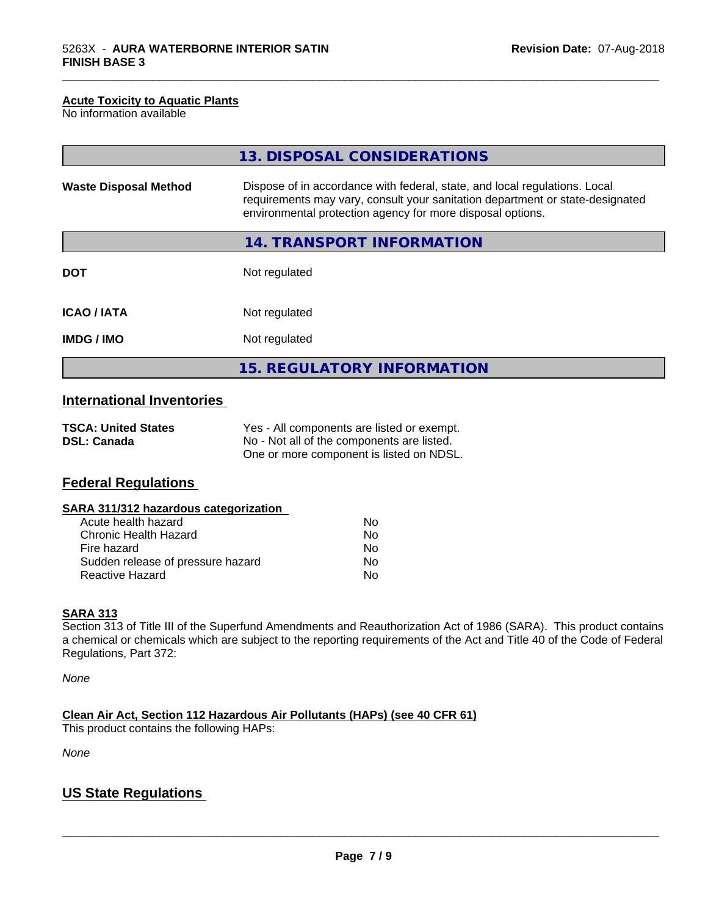#### **Acute Toxicity to Aquatic Plants**

No information available

|                              | 13. DISPOSAL CONSIDERATIONS                                                                                                                                                                                               |
|------------------------------|---------------------------------------------------------------------------------------------------------------------------------------------------------------------------------------------------------------------------|
| <b>Waste Disposal Method</b> | Dispose of in accordance with federal, state, and local regulations. Local<br>requirements may vary, consult your sanitation department or state-designated<br>environmental protection agency for more disposal options. |
|                              | 14. TRANSPORT INFORMATION                                                                                                                                                                                                 |
| <b>DOT</b>                   | Not regulated                                                                                                                                                                                                             |
| <b>ICAO/IATA</b>             | Not regulated                                                                                                                                                                                                             |
| <b>IMDG/IMO</b>              | Not regulated                                                                                                                                                                                                             |
|                              | <b>15. REGULATORY INFORMATION</b>                                                                                                                                                                                         |

\_\_\_\_\_\_\_\_\_\_\_\_\_\_\_\_\_\_\_\_\_\_\_\_\_\_\_\_\_\_\_\_\_\_\_\_\_\_\_\_\_\_\_\_\_\_\_\_\_\_\_\_\_\_\_\_\_\_\_\_\_\_\_\_\_\_\_\_\_\_\_\_\_\_\_\_\_\_\_\_\_\_\_\_\_\_\_\_\_\_\_\_\_

# **International Inventories**

| <b>TSCA: United States</b> | Yes - All components are listed or exempt. |
|----------------------------|--------------------------------------------|
| <b>DSL: Canada</b>         | No - Not all of the components are listed. |
|                            | One or more component is listed on NDSL.   |

# **Federal Regulations**

| SARA 311/312 hazardous categorization |
|---------------------------------------|
|---------------------------------------|

| Acute health hazard               | Nο |
|-----------------------------------|----|
| Chronic Health Hazard             | Nο |
| Fire hazard                       | N٥ |
| Sudden release of pressure hazard | Nο |
| Reactive Hazard                   | Nο |

#### **SARA 313**

Section 313 of Title III of the Superfund Amendments and Reauthorization Act of 1986 (SARA). This product contains a chemical or chemicals which are subject to the reporting requirements of the Act and Title 40 of the Code of Federal Regulations, Part 372:

*None*

**Clean Air Act,Section 112 Hazardous Air Pollutants (HAPs) (see 40 CFR 61)**

This product contains the following HAPs:

*None*

## **US State Regulations**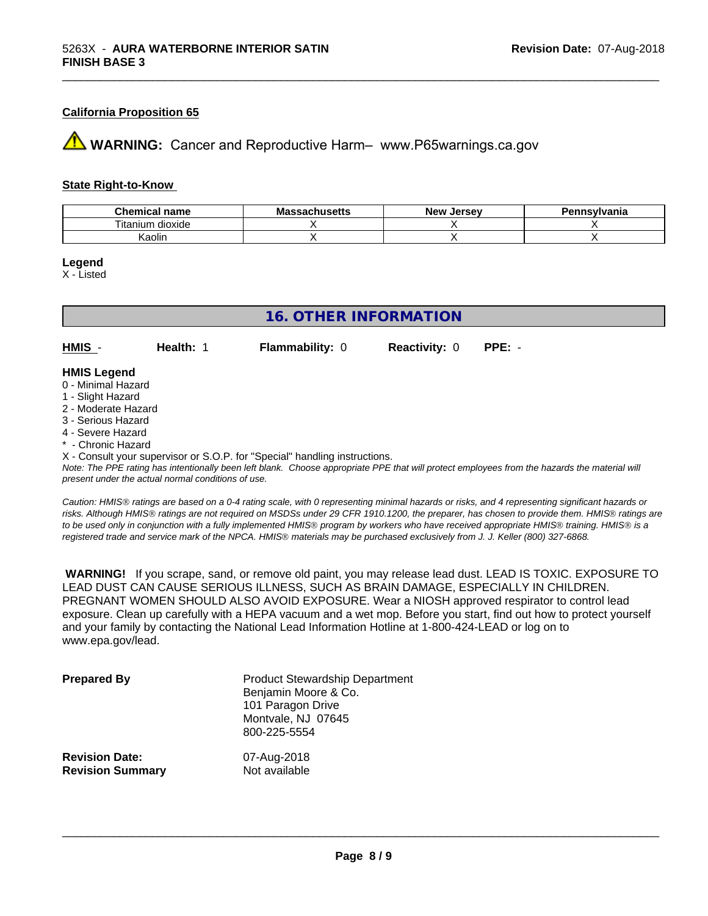#### **California Proposition 65**

**AVIMARNING:** Cancer and Reproductive Harm– www.P65warnings.ca.gov

#### **State Right-to-Know**

| hemical name<br>           | $\cdots$<br>Мi<br>ιανπυστιισ | <b>Jerse</b> v<br>Mev ! | ≅vlvania |
|----------------------------|------------------------------|-------------------------|----------|
| ÷.<br>dioxide<br>l itanium |                              |                         |          |
| Kaolin                     |                              |                         |          |

**Legend**

X - Listed

| 16. OTHER INFORMATION                                                                                      |           |                        |                      |          |  |  |
|------------------------------------------------------------------------------------------------------------|-----------|------------------------|----------------------|----------|--|--|
| HMIS -                                                                                                     | Health: 1 | <b>Flammability: 0</b> | <b>Reactivity: 0</b> | $PPE: -$ |  |  |
| <b>HMIS Legend</b><br>0 - Minimal Hazard<br>1 - Slight Hazard<br>2 - Moderate Hazard<br>3 - Serious Hazard |           |                        |                      |          |  |  |

- 4 Severe Hazard
- \* Chronic Hazard

X - Consult your supervisor or S.O.P. for "Special" handling instructions.

*Note: The PPE rating has intentionally been left blank. Choose appropriate PPE that will protect employees from the hazards the material will present under the actual normal conditions of use.*

*Caution: HMISÒ ratings are based on a 0-4 rating scale, with 0 representing minimal hazards or risks, and 4 representing significant hazards or risks. Although HMISÒ ratings are not required on MSDSs under 29 CFR 1910.1200, the preparer, has chosen to provide them. HMISÒ ratings are to be used only in conjunction with a fully implemented HMISÒ program by workers who have received appropriate HMISÒ training. HMISÒ is a registered trade and service mark of the NPCA. HMISÒ materials may be purchased exclusively from J. J. Keller (800) 327-6868.*

 **WARNING!** If you scrape, sand, or remove old paint, you may release lead dust. LEAD IS TOXIC. EXPOSURE TO LEAD DUST CAN CAUSE SERIOUS ILLNESS, SUCH AS BRAIN DAMAGE, ESPECIALLY IN CHILDREN. PREGNANT WOMEN SHOULD ALSO AVOID EXPOSURE.Wear a NIOSH approved respirator to control lead exposure. Clean up carefully with a HEPA vacuum and a wet mop. Before you start, find out how to protect yourself and your family by contacting the National Lead Information Hotline at 1-800-424-LEAD or log on to www.epa.gov/lead.

| <b>Prepared By</b>      | <b>Product Stewardship Department</b><br>Benjamin Moore & Co.<br>101 Paragon Drive<br>Montvale, NJ 07645<br>800-225-5554 |
|-------------------------|--------------------------------------------------------------------------------------------------------------------------|
| <b>Revision Date:</b>   | 07-Aug-2018                                                                                                              |
| <b>Revision Summary</b> | Not available                                                                                                            |